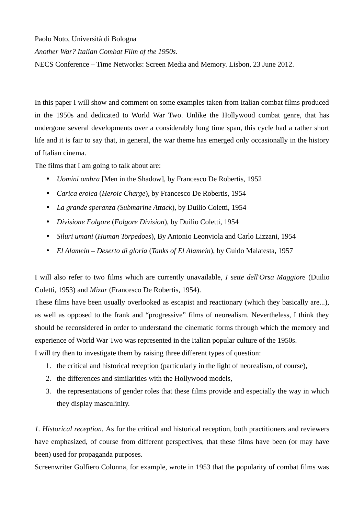Paolo Noto, Università di Bologna

*Another War? Italian Combat Film of the 1950s*.

NECS Conference – Time Networks: Screen Media and Memory. Lisbon, 23 June 2012.

In this paper I will show and comment on some examples taken from Italian combat films produced in the 1950s and dedicated to World War Two. Unlike the Hollywood combat genre, that has undergone several developments over a considerably long time span, this cycle had a rather short life and it is fair to say that, in general, the war theme has emerged only occasionally in the history of Italian cinema.

The films that I am going to talk about are:

- *Uomini ombra* [Men in the Shadow], by Francesco De Robertis, 1952
- *Carica eroica* (*Heroic Charge*), by Francesco De Robertis, 1954
- *La grande speranza (Submarine Attack*), by Duilio Coletti, 1954
- *Divisione Folgore* (*Folgore Division*), by Duilio Coletti, 1954
- *Siluri umani* (*Human Torpedoes*), By Antonio Leonviola and Carlo Lizzani, 1954
- *El Alamein Deserto di gloria* (*Tanks of El Alamein*), by Guido Malatesta, 1957

I will also refer to two films which are currently unavailable, *I sette dell'Orsa Maggiore* (Duilio Coletti, 1953) and *Mizar* (Francesco De Robertis, 1954).

These films have been usually overlooked as escapist and reactionary (which they basically are...), as well as opposed to the frank and "progressive" films of neorealism. Nevertheless, I think they should be reconsidered in order to understand the cinematic forms through which the memory and experience of World War Two was represented in the Italian popular culture of the 1950s. I will try then to investigate them by raising three different types of question:

- 1. the critical and historical reception (particularly in the light of neorealism, of course),
- 2. the differences and similarities with the Hollywood models,
- 3. the representations of gender roles that these films provide and especially the way in which they display masculinity.

*1. Historical reception.* As for the critical and historical reception, both practitioners and reviewers have emphasized, of course from different perspectives, that these films have been (or may have been) used for propaganda purposes.

Screenwriter Golfiero Colonna, for example, wrote in 1953 that the popularity of combat films was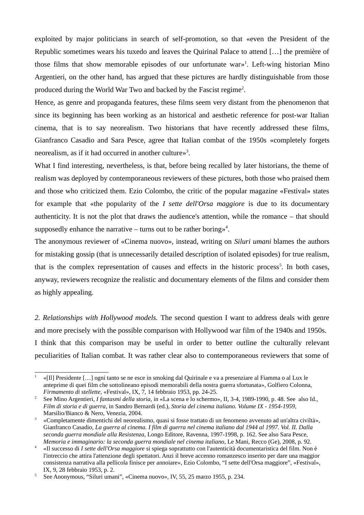exploited by major politicians in search of self-promotion, so that «even the President of the Republic sometimes wears his tuxedo and leaves the Quirinal Palace to attend […] the première of those films that show memorable episodes of our unfortunate war»<sup>[1](#page-1-0)</sup>. Left-wing historian Mino Argentieri, on the other hand, has argued that these pictures are hardly distinguishable from those produced during the World War Two and backed by the Fascist regime<sup>[2](#page-1-1)</sup>.

Hence, as genre and propaganda features, these films seem very distant from the phenomenon that since its beginning has been working as an historical and aesthetic reference for post-war Italian cinema, that is to say neorealism. Two historians that have recently addressed these films, Gianfranco Casadio and Sara Pesce, agree that Italian combat of the 1950s «completely forgets neorealism, as if it had occurred in another culture»<sup>[3](#page-1-2)</sup>.

What I find interesting, nevertheless, is that, before being recalled by later historians, the theme of realism was deployed by contemporaneous reviewers of these pictures, both those who praised them and those who criticized them. Ezio Colombo, the critic of the popular magazine «Festival» states for example that «the popularity of the *I sette dell'Orsa maggiore* is due to its documentary authenticity. It is not the plot that draws the audience's attention, while the romance – that should supposedly enhance the narrative  $-$  turns out to be rather boring»<sup>[4](#page-1-3)</sup>.

The anonymous reviewer of «Cinema nuovo», instead, writing on *Siluri umani* blames the authors for mistaking gossip (that is unnecessarily detailed description of isolated episodes) for true realism, that is the complex representation of causes and effects in the historic process<sup>[5](#page-1-4)</sup>. In both cases, anyway, reviewers recognize the realistic and documentary elements of the films and consider them as highly appealing.

*2. Relationships with Hollywood models.* The second question I want to address deals with genre and more precisely with the possible comparison with Hollywood war film of the 1940s and 1950s. I think that this comparison may be useful in order to better outline the culturally relevant peculiarities of Italian combat. It was rather clear also to contemporaneous reviewers that some of

<span id="page-1-0"></span><sup>1</sup> «[Il] Presidente […] ogni tanto se ne esce in smoking dal Quirinale e va a presenziare al Fiamma o al Lux le anteprime di quei film che sottolineano episodi memorabili della nostra guerra sfortunata», Golfiero Colonna, *Firmamento di stellette*, «Festival», IX, 7, 14 febbraio 1953, pp. 24-25.

<span id="page-1-1"></span><sup>2</sup> See Mino Argentieri, *I fantasmi della storia*, in «La scena e lo schermo», II, 3-4, 1989-1990, p. 48. See also Id., *Film di storia e di guerra*, in Sandro Bernardi (ed.), *Storia del cinema italiano. Volume IX - 1954-1959*, Marsilio/Bianco & Nero, Venezia, 2004.

<span id="page-1-2"></span><sup>3</sup> «Completamente dimentichi del neorealismo, quasi si fosse trattato di un fenomeno avvenuto ad un'altra civiltà», Gianfranco Casadio, *La guerra al cinema. I film di guerra nel cinema italiano dal 1944 al 1997. Vol. II. Dalla seconda guerra mondiale alla Resistenza*, Longo Editore, Ravenna, 1997-1998, p. 162. See also Sara Pesce, *Memoria e immaginario: la seconda guerra mondiale nel cinema italiano*, Le Mani, Recco (Ge), 2008, p. 92.

<span id="page-1-3"></span><sup>4</sup> «Il successo di *I sette dell'Orsa maggiore* si spiega soprattutto con l'autenticità documentaristica del film. Non è l'intreccio che attira l'attenzione degli spettatori. Anzi il breve accenno romanzesco inserito per dare una maggior consistenza narrativa alla pellicola finisce per annoiare», Ezio Colombo, "I sette dell'Orsa maggiore", «Festival», IX, 9, 28 febbraio 1953, p. 2.

<span id="page-1-4"></span><sup>5</sup> See Anonymous, "Siluri umani", «Cinema nuovo», IV, 55, 25 marzo 1955, p. 234.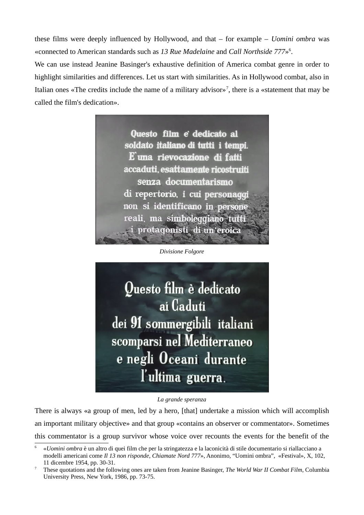these films were deeply influenced by Hollywood, and that – for example – *Uomini ombra* was «connected to American standards such as *13 Rue Madelaine* and *Call Northside 777*» [6](#page-2-0) . We can use instead Jeanine Basinger's exhaustive definition of America combat genre in order to highlight similarities and differences. Let us start with similarities. As in Hollywood combat, also in Italian ones «The credits include the name of a military advisor»<sup>[7](#page-2-1)</sup>, there is a «statement that may be called the film's dedication».



*Divisione Folgore*



#### *La grande speranza*

There is always «a group of men, led by a hero, [that] undertake a mission which will accomplish an important military objective» and that group «contains an observer or commentator». Sometimes this commentator is a group survivor whose voice over recounts the events for the benefit of the

<span id="page-2-0"></span><sup>6</sup> «*Uomini ombra* è un altro di quei film che per la stringatezza e la laconicità di stile documentario si riallacciano a modelli americani come *Il 13 non risponde*, *Chiamate Nord 777*», Anonimo, "Uomini ombra", «Festival», X, 102, 11 dicembre 1954, pp. 30-31.

<span id="page-2-1"></span><sup>7</sup> These quotations and the following ones are taken from Jeanine Basinger, *The World War II Combat Film*, Columbia University Press, New York, 1986, pp. 73-75.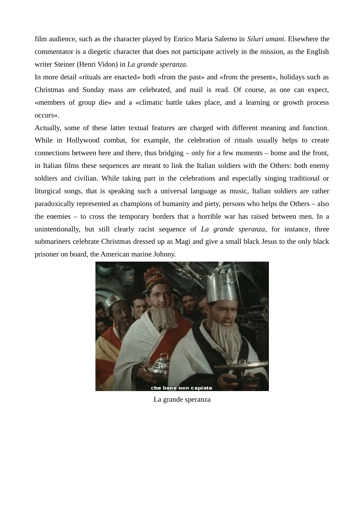film audience, such as the character played by Enrico Maria Salerno in *Siluri umani*. Elsewhere the commentator is a diegetic character that does not participate actively in the mission, as the English writer Steiner (Henri Vidon) in *La grande speranza*.

In more detail «rituals are enacted» both «from the past» and «from the present», holidays such as Christmas and Sunday mass are celebrated, and mail is read. Of course, as one can expect, «members of group die» and a «climatic battle takes place, and a learning or growth process occurs».

Actually, some of these latter textual features are charged with different meaning and function. While in Hollywood combat, for example, the celebration of rituals usually helps to create connections between here and there, thus bridging – only for a few moments – home and the front, in Italian films these sequences are meant to link the Italian soldiers with the Others: both enemy soldiers and civilian. While taking part in the celebrations and especially singing traditional or liturgical songs, that is speaking such a universal language as music, Italian soldiers are rather paradoxically represented as champions of humanity and piety, persons who helps the Others – also the enemies – to cross the temporary borders that a horrible war has raised between men. In a unintentionally, but still clearly racist sequence of *La grande speranza*, for instance, three submariners celebrate Christmas dressed up as Magi and give a small black Jesus to the only black prisoner on board, the American marine Johnny.



La grande speranza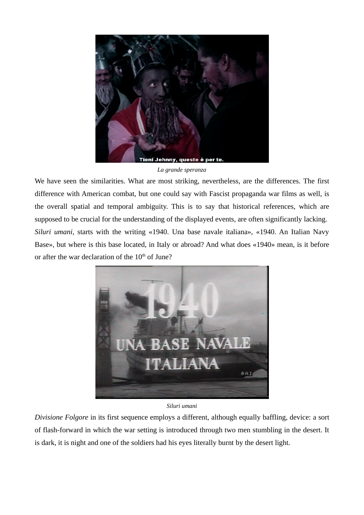

*La grande speranza*

We have seen the similarities. What are most striking, nevertheless, are the differences. The first difference with American combat, but one could say with Fascist propaganda war films as well, is the overall spatial and temporal ambiguity. This is to say that historical references, which are supposed to be crucial for the understanding of the displayed events, are often significantly lacking. *Siluri umani*, starts with the writing «1940. Una base navale italiana», «1940. An Italian Navy Base», but where is this base located, in Italy or abroad? And what does «1940» mean, is it before or after the war declaration of the  $10<sup>th</sup>$  of June?



# *Siluri umani*

*Divisione Folgore* in its first sequence employs a different, although equally baffling, device: a sort of flash-forward in which the war setting is introduced through two men stumbling in the desert. It is dark, it is night and one of the soldiers had his eyes literally burnt by the desert light.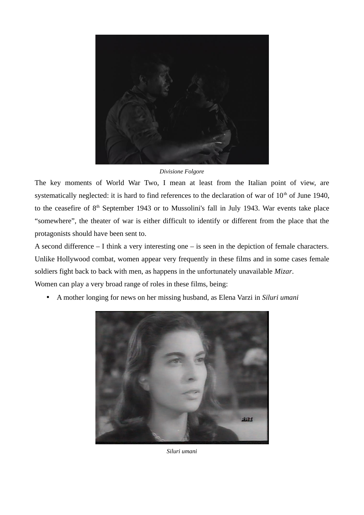

*Divisione Folgore*

The key moments of World War Two, I mean at least from the Italian point of view, are systematically neglected: it is hard to find references to the declaration of war of  $10<sup>th</sup>$  of June 1940, to the ceasefire of 8<sup>th</sup> September 1943 or to Mussolini's fall in July 1943. War events take place "somewhere", the theater of war is either difficult to identify or different from the place that the protagonists should have been sent to.

A second difference – I think a very interesting one – is seen in the depiction of female characters. Unlike Hollywood combat, women appear very frequently in these films and in some cases female soldiers fight back to back with men, as happens in the unfortunately unavailable *Mizar*.

Women can play a very broad range of roles in these films, being:

• A mother longing for news on her missing husband, as Elena Varzi in *Siluri umani*



*Siluri umani*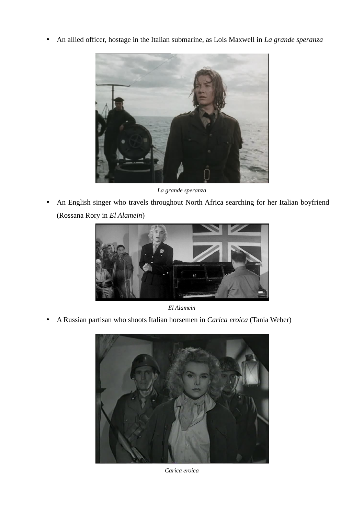• An allied officer, hostage in the Italian submarine, as Lois Maxwell in *La grande speranza*



*La grande speranza*

• An English singer who travels throughout North Africa searching for her Italian boyfriend (Rossana Rory in *El Alamein*)



*El Alamein*

• A Russian partisan who shoots Italian horsemen in *Carica eroica* (Tania Weber)



*Carica eroica*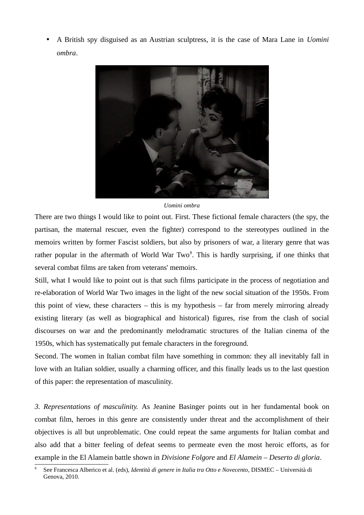• A British spy disguised as an Austrian sculptress, it is the case of Mara Lane in *Uomini ombra*.



### *Uomini ombra*

There are two things I would like to point out. First. These fictional female characters (the spy, the partisan, the maternal rescuer, even the fighter) correspond to the stereotypes outlined in the memoirs written by former Fascist soldiers, but also by prisoners of war, a literary genre that was rather popular in the aftermath of World War Two<sup>[8](#page-7-0)</sup>. This is hardly surprising, if one thinks that several combat films are taken from veterans' memoirs.

Still, what I would like to point out is that such films participate in the process of negotiation and re-elaboration of World War Two images in the light of the new social situation of the 1950s. From this point of view, these characters  $-$  this is my hypothesis  $-$  far from merely mirroring already existing literary (as well as biographical and historical) figures, rise from the clash of social discourses on war and the predominantly melodramatic structures of the Italian cinema of the 1950s, which has systematically put female characters in the foreground.

Second. The women in Italian combat film have something in common: they all inevitably fall in love with an Italian soldier, usually a charming officer, and this finally leads us to the last question of this paper: the representation of masculinity.

*3. Representations of masculinity.* As Jeanine Basinger points out in her fundamental book on combat film, heroes in this genre are consistently under threat and the accomplishment of their objectives is all but unproblematic. One could repeat the same arguments for Italian combat and also add that a bitter feeling of defeat seems to permeate even the most heroic efforts, as for example in the El Alamein battle shown in *Divisione Folgore* and *El Alamein – Deserto di gloria*.

<span id="page-7-0"></span><sup>8</sup> See Francesca Alberico et al. (eds), *Identità di genere in Italia tra Otto e Novecento*, DISMEC – Università di Genova, 2010.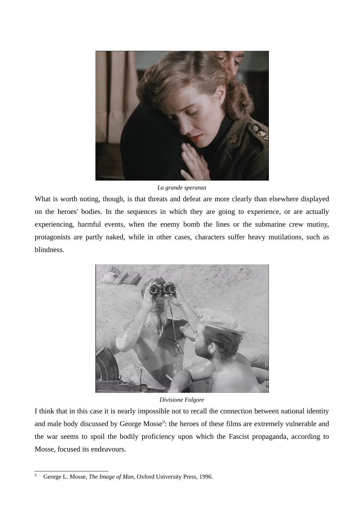

*La grande speranza*

What is worth noting, though, is that threats and defeat are more clearly than elsewhere displayed on the heroes' bodies. In the sequences in which they are going to experience, or are actually experiencing, harmful events, when the enemy bomb the lines or the submarine crew mutiny, protagonists are partly naked, while in other cases, characters suffer heavy mutilations, such as blindness.



# *Divisione Folgore*

I think that in this case it is nearly impossible not to recall the connection between national identity and male body discussed by George Mosse<sup>[9](#page-8-0)</sup>: the heroes of these films are extremely vulnerable and the war seems to spoil the bodily proficiency upon which the Fascist propaganda, according to Mosse, focused its endeavours.

<span id="page-8-0"></span><sup>9</sup> George L. Mosse, *The Image of Man*, Oxford University Press, 1996.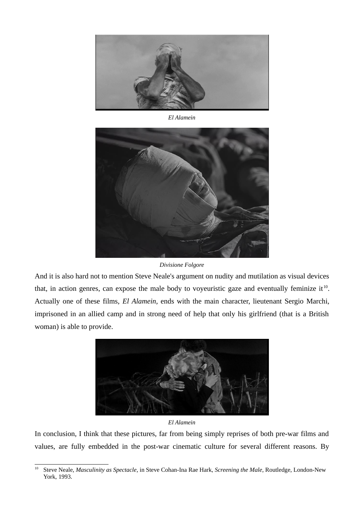

*El Alamein*



*Divisione Folgore*

And it is also hard not to mention Steve Neale's argument on nudity and mutilation as visual devices that, in action genres, can expose the male body to voyeuristic gaze and eventually feminize it<sup>[10](#page-9-0)</sup>. Actually one of these films, *El Alamein*, ends with the main character, lieutenant Sergio Marchi, imprisoned in an allied camp and in strong need of help that only his girlfriend (that is a British woman) is able to provide.



### *El Alamein*

In conclusion, I think that these pictures, far from being simply reprises of both pre-war films and values, are fully embedded in the post-war cinematic culture for several different reasons. By

<span id="page-9-0"></span><sup>10</sup> Steve Neale, *Masculinity as Spectacle*, in Steve Cohan-Ina Rae Hark, *Screening the Male*, Routledge, London-New York, 1993.